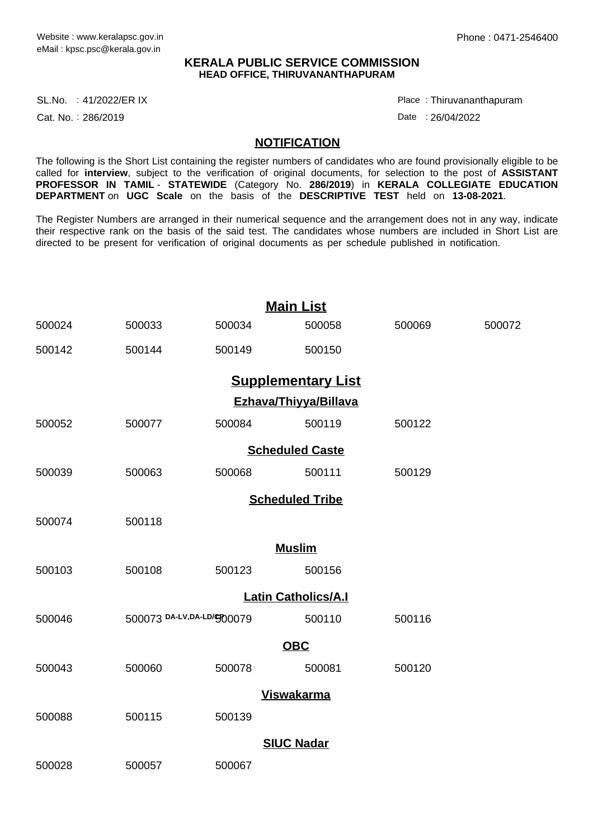### **KERALA PUBLIC SERVICE COMMISSION HEAD OFFICE, THIRUVANANTHAPURAM**

SL.No. :41/2022/ER IX Place

Cat. No.: 286/2019

Thiruvananthapuram :

Date : 26/04/2022

#### **NOTIFICATION**

The following is the Short List containing the register numbers of candidates who are found provisionally eligible to be called for **interview**, subject to the verification of original documents, for selection to the post of **ASSISTANT PROFESSOR IN TAMIL** - **STATEWIDE** (Category No. **286/2019**) in **KERALA COLLEGIATE EDUCATION DEPARTMENT** on **UGC Scale** on the basis of the **DESCRIPTIVE TEST** held on **13-08-2021**.

The Register Numbers are arranged in their numerical sequence and the arrangement does not in any way, indicate their respective rank on the basis of the said test. The candidates whose numbers are included in Short List are directed to be present for verification of original documents as per schedule published in notification.

| <b>Main List</b>           |                            |        |        |        |        |  |  |  |  |
|----------------------------|----------------------------|--------|--------|--------|--------|--|--|--|--|
| 500024                     | 500033                     | 500034 | 500058 | 500069 | 500072 |  |  |  |  |
| 500142                     | 500144                     | 500149 | 500150 |        |        |  |  |  |  |
| <b>Supplementary List</b>  |                            |        |        |        |        |  |  |  |  |
| Ezhava/Thiyya/Billava      |                            |        |        |        |        |  |  |  |  |
| 500052                     | 500077                     | 500084 | 500119 | 500122 |        |  |  |  |  |
| <b>Scheduled Caste</b>     |                            |        |        |        |        |  |  |  |  |
| 500039                     | 500063                     | 500068 | 500111 | 500129 |        |  |  |  |  |
| <b>Scheduled Tribe</b>     |                            |        |        |        |        |  |  |  |  |
| 500074                     | 500118                     |        |        |        |        |  |  |  |  |
| <b>Muslim</b>              |                            |        |        |        |        |  |  |  |  |
| 500103                     | 500108                     | 500123 | 500156 |        |        |  |  |  |  |
| <b>Latin Catholics/A.I</b> |                            |        |        |        |        |  |  |  |  |
| 500046                     | 500073 DA-LV, DA-LD/GD0079 |        | 500110 | 500116 |        |  |  |  |  |
| <b>OBC</b>                 |                            |        |        |        |        |  |  |  |  |
| 500043                     | 500060                     | 500078 | 500081 | 500120 |        |  |  |  |  |
| <b>Viswakarma</b>          |                            |        |        |        |        |  |  |  |  |
| 500088                     | 500115                     | 500139 |        |        |        |  |  |  |  |
| <b>SIUC Nadar</b>          |                            |        |        |        |        |  |  |  |  |
| 500028                     | 500057                     | 500067 |        |        |        |  |  |  |  |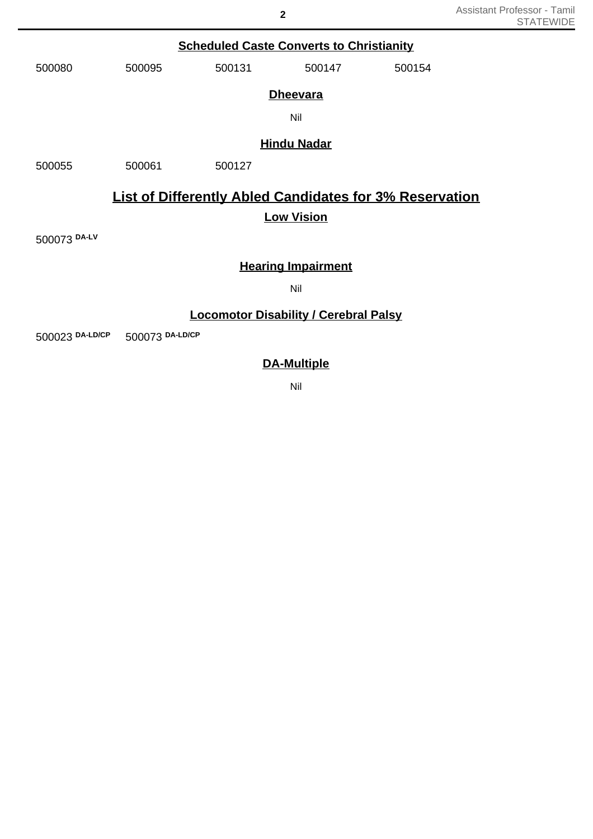## **Scheduled Caste Converts to Christianity**

| 500080 | 500095 | 500131 | 500147 | 500154 |
|--------|--------|--------|--------|--------|
|        |        |        |        |        |

### **Dheevara**

Nil

### **Hindu Nadar**

500055 500061 500127

# **List of Differently Abled Candidates for 3% Reservation**

## **Low Vision**

500073 **DA-LV**

## **Hearing Impairment**

Nil

## **Locomotor Disability / Cerebral Palsy**

500023 **DA-LD/CP** 500073 **DA-LD/CP**

## **DA-Multiple**

Nil